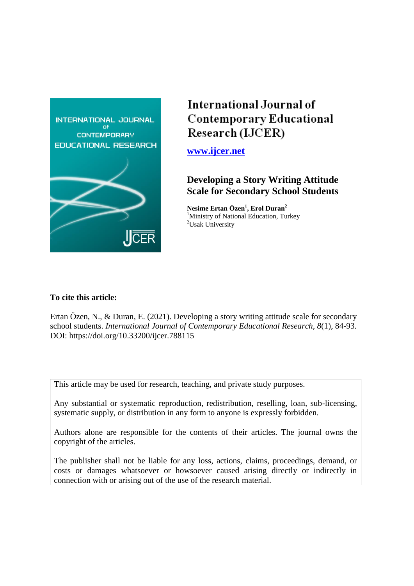

# International Journal of **Contemporary Educational** Research (IJCER)

**[www.ijcer.net](http://www.ijcer.net/)**

# **Developing a Story Writing Attitude Scale for Secondary School Students**

**Nesime Ertan Özen<sup>1</sup> , Erol Duran<sup>2</sup>** <sup>1</sup>Ministry of National Education, Turkey <sup>2</sup>Usak University

# **To cite this article:**

Ertan Özen, N., & Duran, E. (2021). Developing a story writing attitude scale for secondary school students. *International Journal of Contemporary Educational Research, 8*(1), 84-93. DOI: https://doi.org/10.33200/ijcer.788115

This article may be used for research, teaching, and private study purposes.

Any substantial or systematic reproduction, redistribution, reselling, loan, sub-licensing, systematic supply, or distribution in any form to anyone is expressly forbidden.

Authors alone are responsible for the contents of their articles. The journal owns the copyright of the articles.

The publisher shall not be liable for any loss, actions, claims, proceedings, demand, or costs or damages whatsoever or howsoever caused arising directly or indirectly in connection with or arising out of the use of the research material.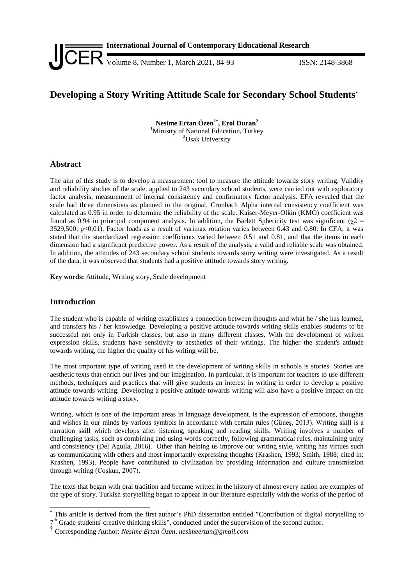

# **Developing a Story Writing Attitude Scale for Secondary School Students**\*

**Nesime Ertan Özen1† , Erol Duran<sup>2</sup>** <sup>1</sup>Ministry of National Education, Turkey <sup>2</sup>Usak University

## **Abstract**

The aim of this study is to develop a measurement tool to measure the attitude towards story writing. Validity and reliability studies of the scale, applied to 243 secondary school students, were carried out with exploratory factor analysis, measurement of internal consistency and confirmatory factor analysis. EFA revealed that the scale had three dimensions as planned in the original. Cronbach Alpha internal consistency coefficient was calculated as 0.95 in order to determine the reliability of the scale. Kaiser-Meyer-Olkin (KMO) coefficient was found as 0.94 in principal component analysis. In addition, the Barlett Sphericity test was significant ( $χ2$  = 3529,500; p<0,01). Factor loads as a result of varimax rotation varies between 0.43 and 0.80. In CFA, it was stated that the standardized regression coefficients varied between 0.51 and 0.81, and that the items in each dimension had a significant predictive power. As a result of the analysis, a valid and reliable scale was obtained. In addition, the attitudes of 243 secondary school students towards story writing were investigated. As a result of the data, it was observed that students had a positive attitude towards story writing.

**Key words:** Attitude, Writing story, Scale development

### **Introduction**

 $\overline{a}$ 

The student who is capable of writing establishes a connection between thoughts and what he / she has learned, and transfers his / her knowledge. Developing a positive attitude towards writing skills enables students to be successful not only in Turkish classes, but also in many different classes. With the development of written expression skills, students have sensitivity to aesthetics of their writings. The higher the student's attitude towards writing, the higher the quality of his writing will be.

The most important type of writing used in the development of writing skills in schools is stories. Stories are aesthetic texts that enrich our lives and our imagination. In particular, it is important for teachers to use different methods, techniques and practices that will give students an interest in writing in order to develop a positive attitude towards writing. Developing a positive attitude towards writing will also have a positive impact on the attitude towards writing a story.

Writing, which is one of the important areas in language development, is the expression of emotions, thoughts and wishes in our minds by various symbols in accordance with certain rules (Güneş, 2013). Writing skill is a narration skill which develops after listening, speaking and reading skills. Writing involves a number of challenging tasks, such as combining and using words correctly, following grammatical rules, maintaining unity and consistency (Del Aguila, 2016). Other than helping us improve our writing style, writing has virtues such as communicating with others and most importantly expressing thoughts (Krashen, 1993; Smith, 1988; cited in: Krashen, 1993). People have contributed to civilization by providing information and culture transmission through writing (Coşkun, 2007).

The texts that began with oral tradition and became written in the history of almost every nation are examples of the type of story. Turkish storytelling began to appear in our literature especially with the works of the period of

<sup>\*</sup> This article is derived from the first author's PhD dissertation entitled "Contribution of digital storytelling to 7<sup>th</sup> Grade students' creative thinking skills", conducted under the supervision of the second author.

<sup>†</sup> Corresponding Author: *Nesime Ertan Özen, nesimeertan@gmail.com*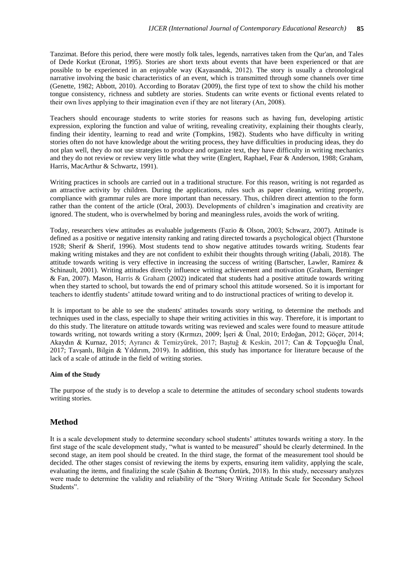Tanzimat. Before this period, there were mostly folk tales, legends, narratives taken from the Qur'an, and Tales of Dede Korkut (Eronat, 1995). Stories are short texts about events that have been experienced or that are possible to be experienced in an enjoyable way (Kayasandık, 2012). The story is usually a chronological narrative involving the basic characteristics of an event, which is transmitted through some channels over time (Genette, 1982; Abbott, 2010). According to Boratav (2009), the first type of text to show the child his mother tongue consistency, richness and subtlety are stories. Students can write events or fictional events related to their own lives applying to their imagination even if they are not literary (Arı, 2008).

Teachers should encourage students to write stories for reasons such as having fun, developing artistic expression, exploring the function and value of writing, revealing creativity, explaining their thoughts clearly, finding their identity, learning to read and write (Tompkins, 1982). Students who have difficulty in writing stories often do not have knowledge about the writing process, they have difficulties in producing ideas, they do not plan well, they do not use strategies to produce and organize text, they have difficulty in writing mechanics and they do not review or review very little what they write (Englert, Raphael, Fear & Anderson, 1988; Graham, Harris, MacArthur & Schwartz, 1991).

Writing practices in schools are carried out in a traditional structure. For this reason, writing is not regarded as an attractive activity by children. During the applications, rules such as paper cleaning, writing properly, compliance with grammar rules are more important than necessary. Thus, children direct attention to the form rather than the content of the article (Oral, 2003). Developments of children's imagination and creativity are ignored. The student, who is overwhelmed by boring and meaningless rules, avoids the work of writing.

Today, researchers view attitudes as evaluable judgements (Fazio & Olson, 2003; Schwarz, 2007). Attitude is defined as a positive or negative intensity ranking and rating directed towards a psychological object (Thurstone 1928; Sherif & Sherif, 1996). Most students tend to show negative attitudes towards writing. Students fear making writing mistakes and they are not confident to exhibit their thoughts through writing (Jabali, 2018). The attitude towards writing is very effective in increasing the success of writing (Bartscher, Lawler, Ramirez & Schinault, 2001). Writing attitudes directly influence writing achievement and motivation (Graham, Berninger & Fan, 2007). Mason, Harris & Graham (2002) indicated that students had a positive attitude towards writing when they started to school, but towards the end of primary school this attitude worsened. So it is important for teachers to identfiy students' attitude toward writing and to do instructional practices of writing to develop it.

It is important to be able to see the students' attitudes towards story writing, to determine the methods and techniques used in the class, especially to shape their writing activities in this way. Therefore, it is important to do this study. The literature on attitude towards writing was reviewed and scales were found to measure attitude towards writing, not towards writing a story (Kırmızı, 2009; İşeri & Ünal, 2010; Erdoğan, 2012; Göçer, 2014; Akaydın & Kurnaz, 2015; Ayrancı & Temizyürek, 2017; Baştuğ & Keskin, 2017; Can & Topçuoğlu Ünal, 2017; Tavşanlı, Bilgin & Yıldırım, 2019). In addition, this study has importance for literature because of the lack of a scale of attitude in the field of writing stories.

#### **Aim of the Study**

The purpose of the study is to develop a scale to determine the attitudes of secondary school students towards writing stories.

### **Method**

It is a scale development study to determine secondary school students' attitutes towards writing a story. In the first stage of the scale development study, "what is wanted to be measured" should be clearly determined. In the second stage, an item pool should be created. In the third stage, the format of the measurement tool should be decided. The other stages consist of reviewing the items by experts, ensuring item validity, applying the scale, evaluating the items, and finalizing the scale (Şahin & Boztunç Öztürk, 2018). In this study, necessary analyzes were made to determine the validity and reliability of the "Story Writing Attitude Scale for Secondary School Students".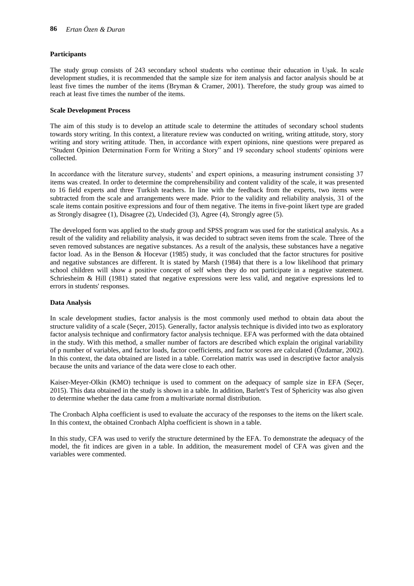#### **Participants**

The study group consists of 243 secondary school students who continue their education in Uşak. In scale development studies, it is recommended that the sample size for item analysis and factor analysis should be at least five times the number of the items (Bryman & Cramer, 2001). Therefore, the study group was aimed to reach at least five times the number of the items.

#### **Scale Development Process**

The aim of this study is to develop an attitude scale to determine the attitudes of secondary school students towards story writing. In this context, a literature review was conducted on writing, writing attitude, story, story writing and story writing attitude. Then, in accordance with expert opinions, nine questions were prepared as "Student Opinion Determination Form for Writing a Story" and 19 secondary school students' opinions were collected.

In accordance with the literature survey, students' and expert opinions, a measuring instrument consisting 37 items was created. In order to determine the comprehensibility and content validity of the scale, it was presented to 16 field experts and three Turkish teachers. In line with the feedback from the experts, two items were subtracted from the scale and arrangements were made. Prior to the validity and reliability analysis, 31 of the scale items contain positive expressions and four of them negative. The items in five-point likert type are graded as Strongly disagree (1), Disagree (2), Undecided (3), Agree (4), Strongly agree (5).

The developed form was applied to the study group and SPSS program was used for the statistical analysis. As a result of the validity and reliability analysis, it was decided to subtract seven items from the scale. Three of the seven removed substances are negative substances. As a result of the analysis, these substances have a negative factor load. As in the Benson & Hocevar (1985) study, it was concluded that the factor structures for positive and negative substances are different. It is stated by Marsh (1984) that there is a low likelihood that primary school children will show a positive concept of self when they do not participate in a negative statement. Schriesheim & Hill (1981) stated that negative expressions were less valid, and negative expressions led to errors in students' responses.

#### **Data Analysis**

In scale development studies, factor analysis is the most commonly used method to obtain data about the structure validity of a scale (Seçer, 2015). Generally, factor analysis technique is divided into two as exploratory factor analysis technique and confirmatory factor analysis technique. EFA was performed with the data obtained in the study. With this method, a smaller number of factors are described which explain the original variability of p number of variables, and factor loads, factor coefficients, and factor scores are calculated (Özdamar, 2002). In this context, the data obtained are listed in a table. Correlation matrix was used in descriptive factor analysis because the units and variance of the data were close to each other.

Kaiser-Meyer-Olkin (KMO) technique is used to comment on the adequacy of sample size in EFA (Seçer, 2015). This data obtained in the study is shown in a table. In addition, Barlett's Test of Sphericity was also given to determine whether the data came from a multivariate normal distribution.

The Cronbach Alpha coefficient is used to evaluate the accuracy of the responses to the items on the likert scale. In this context, the obtained Cronbach Alpha coefficient is shown in a table.

In this study, CFA was used to verify the structure determined by the EFA. To demonstrate the adequacy of the model, the fit indices are given in a table. In addition, the measurement model of CFA was given and the variables were commented.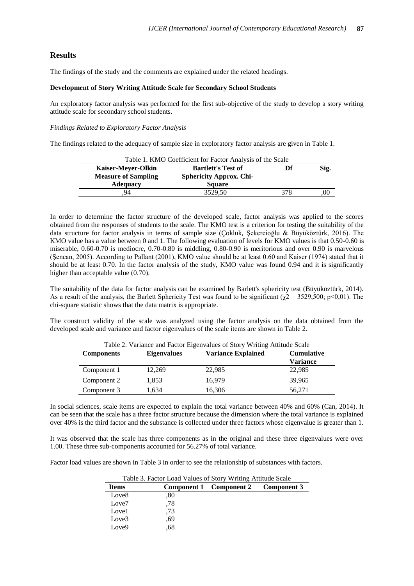#### **Results**

The findings of the study and the comments are explained under the related headings.

#### **Development of Story Writing Attitude Scale for Secondary School Students**

An exploratory factor analysis was performed for the first sub-objective of the study to develop a story writing attitude scale for secondary school students.

#### *Findings Related to Exploratory Factor Analysis*

The findings related to the adequacy of sample size in exploratory factor analysis are given in Table 1.

|                                                        | Table 1. KMO Coefficient for Factor Analysis of the Scale |                                |     |      |
|--------------------------------------------------------|-----------------------------------------------------------|--------------------------------|-----|------|
| <b>Bartlett's Test of</b><br><b>Kaiser-Meyer-Olkin</b> |                                                           |                                |     | Sig. |
|                                                        | <b>Measure of Sampling</b>                                | <b>Sphericity Approx. Chi-</b> |     |      |
|                                                        | <b>Adequacy</b>                                           | <b>Square</b>                  |     |      |
|                                                        | 94                                                        | 3529.50                        | 378 |      |
|                                                        |                                                           |                                |     |      |

In order to determine the factor structure of the developed scale, factor analysis was applied to the scores obtained from the responses of students to the scale. The KMO test is a criterion for testing the suitability of the data structure for factor analysis in terms of sample size (Çokluk, Şekercioğlu & Büyüköztürk, 2016). The KMO value has a value between 0 and 1. The following evaluation of levels for KMO values is that 0.50-0.60 is miserable, 0.60-0.70 is mediocre, 0.70-0.80 is middling, 0.80-0.90 is meritorious and over 0.90 is marvelous (Şencan, 2005). According to Pallant (2001), KMO value should be at least 0.60 and Kaiser (1974) stated that it should be at least 0.70. In the factor analysis of the study, KMO value was found 0.94 and it is significantly higher than acceptable value (0.70).

The suitability of the data for factor analysis can be examined by Barlett's sphericity test (Büyüköztürk, 2014). As a result of the analysis, the Barlett Sphericity Test was found to be significant ( $\chi$ 2 = 3529,500; p<0,01). The chi-square statistic shows that the data matrix is appropriate.

The construct validity of the scale was analyzed using the factor analysis on the data obtained from the developed scale and variance and factor eigenvalues of the scale items are shown in Table 2.

| Table 2. Variance and Factor Eigenvalues of Story Writing Attitude Scale |                    |                           |                   |  |
|--------------------------------------------------------------------------|--------------------|---------------------------|-------------------|--|
| <b>Components</b>                                                        | <b>Eigenvalues</b> | <b>Variance Explained</b> | <b>Cumulative</b> |  |
|                                                                          |                    |                           | <b>Variance</b>   |  |
| Component 1                                                              | 12,269             | 22,985                    | 22,985            |  |
| Component 2                                                              | 1,853              | 16,979                    | 39,965            |  |
| Component 3                                                              | 1,634              | 16,306                    | 56,271            |  |

In social sciences, scale items are expected to explain the total variance between 40% and 60% (Can, 2014). It can be seen that the scale has a three factor structure because the dimension where the total variance is explained over 40% is the third factor and the substance is collected under three factors whose eigenvalue is greater than 1.

It was observed that the scale has three components as in the original and these three eigenvalues were over 1.00. These three sub-components accounted for 56.27% of total variance.

Factor load values are shown in Table 3 in order to see the relationship of substances with factors.

| Lable 5. Pactul Load Values of Story Willing Attitude Scale |     |                         |             |  |
|-------------------------------------------------------------|-----|-------------------------|-------------|--|
| <b>Items</b>                                                |     | Component 1 Component 2 | Component 3 |  |
| Love <sub>8</sub>                                           | .80 |                         |             |  |
| Love <sub>7</sub>                                           | .78 |                         |             |  |
| Love1                                                       | .73 |                         |             |  |
| Love3                                                       | .69 |                         |             |  |
| Love9                                                       | .68 |                         |             |  |

Table 3. Factor Load Values of Story Writing Attitude Scale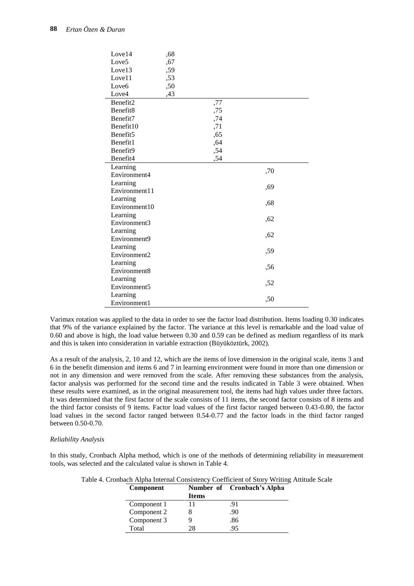| Love14               | ,68 |     |     |
|----------------------|-----|-----|-----|
| Love5                | ,67 |     |     |
| Love13               | ,59 |     |     |
| Love11               | ,53 |     |     |
| Love <sub>6</sub>    | ,50 |     |     |
| Love4                | ,43 |     |     |
| Benefit2             |     | ,77 |     |
| Benefit <sub>8</sub> |     | ,75 |     |
| Benefit7             |     | ,74 |     |
| Benefit10            |     | ,71 |     |
| Benefit <sub>5</sub> |     | ,65 |     |
| Benefit1             |     | ,64 |     |
| Benefit9             |     | ,54 |     |
| Benefit4             |     | ,54 |     |
| Learning             |     |     | ,70 |
| Environment4         |     |     |     |
| Learning             |     |     | ,69 |
| Environment11        |     |     |     |
| Learning             |     |     | ,68 |
| Environment10        |     |     |     |
| Learning             |     |     | ,62 |
| Environment3         |     |     |     |
| Learning             |     |     | ,62 |
| Environment9         |     |     |     |
| Learning             |     |     | ,59 |
| Environment2         |     |     |     |
| Learning             |     |     | ,56 |
| Environment8         |     |     |     |
| Learning             |     |     | ,52 |
| Environment5         |     |     |     |
| Learning             |     |     | ,50 |
| Environment1         |     |     |     |

Varimax rotation was applied to the data in order to see the factor load distribution. Items loading 0.30 indicates that 9% of the variance explained by the factor. The variance at this level is remarkable and the load value of 0.60 and above is high, the load value between 0.30 and 0.59 can be defined as medium regardless of its mark and this is taken into consideration in variable extraction (Büyüköztürk, 2002).

As a result of the analysis, 2, 10 and 12, which are the items of love dimension in the original scale, items 3 and 6 in the benefit dimension and items 6 and 7 in learning environment were found in more than one dimension or not in any dimension and were removed from the scale. After removing these substances from the analysis, factor analysis was performed for the second time and the results indicated in Table 3 were obtained. When these results were examined, as in the original measurement tool, the items had high values under three factors. It was determined that the first factor of the scale consists of 11 items, the second factor consists of 8 items and the third factor consists of 9 items. Factor load values of the first factor ranged between 0.43-0.80, the factor load values in the second factor ranged between 0.54-0.77 and the factor loads in the third factor ranged between 0.50-0.70.

#### *Reliability Analysis*

In this study, Cronbach Alpha method, which is one of the methods of determining reliability in measurement tools, was selected and the calculated value is shown in Table 4.

| Component   |       | NUMBER OF CLOMBACH SAIDING |
|-------------|-------|----------------------------|
|             | Items |                            |
| Component 1 |       | .91                        |
| Component 2 |       | .90                        |
| Component 3 |       | .86                        |
| Total       | 28    | 95                         |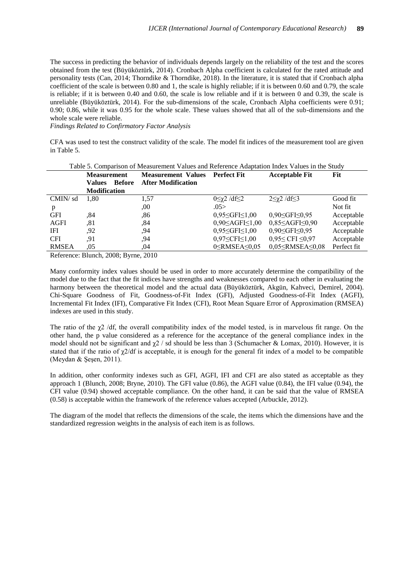The success in predicting the behavior of individuals depends largely on the reliability of the test and the scores obtained from the test (Büyüköztürk, 2014). Cronbach Alpha coefficient is calculated for the rated attitude and personality tests (Can, 2014; Thorndike & Thorndike, 2018). In the literature, it is stated that if Cronbach alpha coefficient of the scale is between 0.80 and 1, the scale is highly reliable; if it is between 0.60 and 0.79, the scale is reliable; if it is between 0.40 and 0.60, the scale is low reliable and if it is between 0 and 0.39, the scale is unreliable (Büyüköztürk, 2014). For the sub-dimensions of the scale, Cronbach Alpha coefficients were 0.91; 0.90; 0.86, while it was 0.95 for the whole scale. These values showed that all of the sub-dimensions and the whole scale were reliable.

*Findings Related to Confirmatory Factor Analysis*

CFA was used to test the construct validity of the scale. The model fit indices of the measurement tool are given in Table 5.

| Table 5. Comparison of Measurement Values and Reference Adaptation Index Values in the Study |                     |                                       |                           |                              |                               |             |
|----------------------------------------------------------------------------------------------|---------------------|---------------------------------------|---------------------------|------------------------------|-------------------------------|-------------|
| <b>Measurement</b>                                                                           |                     | <b>Measurement Values</b> Perfect Fit |                           | <b>Acceptable Fit</b>        | Fit                           |             |
|                                                                                              | <b>Values</b>       | <b>Before</b>                         | <b>After Modification</b> |                              |                               |             |
|                                                                                              | <b>Modification</b> |                                       |                           |                              |                               |             |
| CMIN/sd                                                                                      | 1.80                |                                       | 1,57                      | $0 \leq \chi$ 2 /df $\leq$ 2 | $2\leq\gamma2$ /df $\leq3$    | Good fit    |
| p                                                                                            |                     |                                       | ,00                       | .05>                         |                               | Not fit     |
| <b>GFI</b>                                                                                   | .84                 |                                       | .86                       | $0,95 \leq$ GFI $\leq$ 1,00  | $0,90 \leq$ GFI $\leq 0,95$   | Acceptable  |
| <b>AGFI</b>                                                                                  | .81                 |                                       | .84                       | $0,90 \leq AGF1 \leq 1,00$   | $0,85 \leq$ AGFI $\leq$ 0,90  | Acceptable  |
| IFI                                                                                          | .92                 |                                       | .94                       | $0.95 \leq$ GFI $\leq$ 1.00  | $0,90 \leq$ GFI $\leq 0,95$   | Acceptable  |
| <b>CFI</b>                                                                                   | .91                 |                                       | ,94                       | $0,97 \leq CFI \leq 1,00$    | $0,95 \leq CFI \leq 0,97$     | Acceptable  |
| <b>RMSEA</b>                                                                                 | .05                 |                                       | .04                       | $0 \leq$ RMSEA $\leq 0.05$   | $0.05 \leq$ RMSEA $\leq$ 0.08 | Perfect fit |
|                                                                                              |                     |                                       |                           |                              |                               |             |

Reference: Blunch, 2008; Byrne, 2010

Many conformity index values should be used in order to more accurately determine the compatibility of the model due to the fact that the fit indices have strengths and weaknesses compared to each other in evaluating the harmony between the theoretical model and the actual data (Büyüköztürk, Akgün, Kahveci, Demirel, 2004). Chi-Square Goodness of Fit, Goodness-of-Fit Index (GFI), Adjusted Goodness-of-Fit Index (AGFI), Incremental Fit Index (IFI), Comparative Fit Index (CFI), Root Mean Square Error of Approximation (RMSEA) indexes are used in this study.

The ratio of the  $\chi$ 2 /df, the overall compatibility index of the model tested, is in marvelous fit range. On the other hand, the p value considered as a reference for the acceptance of the general compliance index in the model should not be significant and  $\chi$ 2 / sd should be less than 3 (Schumacher & Lomax, 2010). However, it is stated that if the ratio of  $\chi$ 2/df is acceptable, it is enough for the general fit index of a model to be compatible (Meydan & Şeşen, 2011).

In addition, other conformity indexes such as GFI, AGFI, IFI and CFI are also stated as acceptable as they approach 1 (Blunch, 2008; Bryne, 2010). The GFI value (0.86), the AGFI value (0.84), the IFI value (0.94), the CFI value (0.94) showed acceptable compliance. On the other hand, it can be said that the value of RMSEA (0.58) is acceptable within the framework of the reference values accepted (Arbuckle, 2012).

The diagram of the model that reflects the dimensions of the scale, the items which the dimensions have and the standardized regression weights in the analysis of each item is as follows.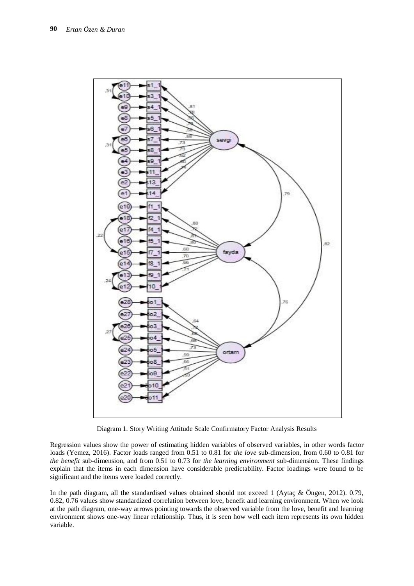

Diagram 1. Story Writing Attitude Scale Confirmatory Factor Analysis Results

Regression values show the power of estimating hidden variables of observed variables, in other words factor loads (Yemez, 2016). Factor loads ranged from 0.51 to 0.81 for *the love* sub-dimension, from 0.60 to 0.81 for *the benefit* sub-dimension, and from 0.51 to 0.73 for *the learning environment* sub-dimension. These findings explain that the items in each dimension have considerable predictability. Factor loadings were found to be significant and the items were loaded correctly.

In the path diagram, all the standardised values obtained should not exceed 1 (Aytaç & Öngen, 2012). 0.79, 0.82, 0.76 values show standardized correlation between love, benefit and learning environment. When we look at the path diagram, one-way arrows pointing towards the observed variable from the love, benefit and learning environment shows one-way linear relationship. Thus, it is seen how well each item represents its own hidden variable.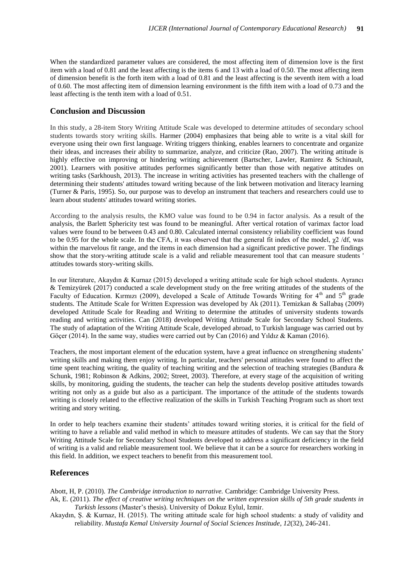When the standardized parameter values are considered, the most affecting item of dimension love is the first item with a load of 0.81 and the least affecting is the items 6 and 13 with a load of 0.50. The most affecting item of dimension benefit is the forth item with a load of 0.81 and the least affecting is the seventh item with a load of 0.60. The most affecting item of dimension learning environment is the fifth item with a load of 0.73 and the least affecting is the tenth item with a load of 0.51.

#### **Conclusion and Discussion**

In this study, a 28-item Story Writing Attitude Scale was developed to determine attitudes of secondary school students towards story writing skills. Harmer (2004) emphasizes that being able to write is a vital skill for everyone using their own first language. Writing triggers thinking, enables learners to concentrate and organize their ideas, and increases their ability to summarize, analyze, and criticize (Rao, 2007). The writing attitude is highly effective on improving or hindering writing achievement (Bartscher, Lawler, Ramirez & Schinault, 2001). Learners with positive attitudes performes significantly better than those with negative attitudes on writing tasks (Sarkhoush, 2013). The increase in writing activities has presented teachers with the challenge of determining their students' attitudes toward writing because of the link between motivation and literacy learning (Turner & Paris, 1995). So, our purpose was to develop an instrument that teachers and researchers could use to learn about students' attitudes toward writing stories.

According to the analysis results, the KMO value was found to be 0.94 in factor analysis. As a result of the analysis, the Barlett Sphericity test was found to be meaningful. After vertical rotation of varimax factor load values were found to be between 0.43 and 0.80. Calculated internal consistency reliability coefficient was found to be 0.95 for the whole scale. In the CFA, it was observed that the general fit index of the model,  $\chi$ 2/df, was within the marvelous fit range, and the items in each dimension had a significant predictive power. The findings show that the story-writing attitude scale is a valid and reliable measurement tool that can measure students ' attitudes towards story-writing skills.

In our literature, Akaydın & Kurnaz (2015) developed a writing attitude scale for high school students. Ayrancı & Temizyürek (2017) conducted a scale development study on the free writing attitudes of the students of the Faculty of Education. Kırmızı (2009), developed a Scale of Attitude Towards Writing for 4<sup>th</sup> and 5<sup>th</sup> grade students. The Attitude Scale for Written Expression was developed by Ak (2011). Temizkan & Sallabaş (2009) developed Attitude Scale for Reading and Writing to determine the attitudes of university students towards reading and writing activities. Can (2018) developed Writing Attitude Scale for Secondary School Students. The study of adaptation of the Writing Attitude Scale, developed abroad, to Turkish language was carried out by Göçer (2014). In the same way, studies were carried out by Can (2016) and Yıldız & Kaman (2016).

Teachers, the most important element of the education system, have a great influence on strengthening students' writing skills and making them enjoy writing. In particular, teachers' personal attitudes were found to affect the time spent teaching writing, the quality of teaching writing and the selection of teaching strategies (Bandura & Schunk, 1981; Robinson & Adkins, 2002; Street, 2003). Therefore, at every stage of the acquisition of writing skills, by monitoring, guiding the students, the teacher can help the students develop positive attitudes towards writing not only as a guide but also as a participant. The importance of the attitude of the students towards writing is closely related to the effective realization of the skills in Turkish Teaching Program such as short text writing and story writing.

In order to help teachers examine their students' attitudes toward writing stories, it is critical for the field of writing to have a reliable and valid method in which to measure attitudes of students. We can say that the Story Writing Attitude Scale for Secondary School Students developed to address a significant deficiency in the field of writing is a valid and reliable measurement tool. We believe that it can be a source for researchers working in this field. In addition, we expect teachers to benefit from this measurement tool.

#### **References**

Abott, H, P. (2010). *The Cambridge introduction to narrative.* Cambridge: Cambridge University Press.

- Ak, E. (2011). *The effect of creative writing techniques on the written expression skills of 5th grade students in Turkish lessons* (Master's thesis). University of Dokuz Eylul, Izmir.
- Akaydın, Ş. & Kurnaz, H. (2015). The writing attitude scale for high school students: a study of validity and reliability. *Mustafa Kemal University Journal of Social Sciences Institude*, *12*(32), 246-241.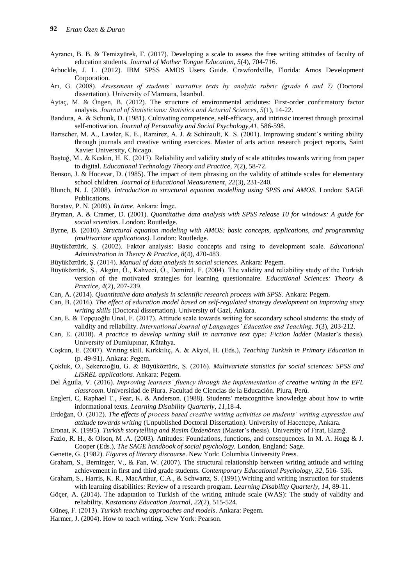- Ayrancı, B. B. & Temizyürek, F. (2017). Developing a scale to assess the free writing attitudes of faculty of education students. *Journal of Mother Tongue Education*, *5*(4), 704-716.
- Arbuckle, J. L. (2012). IBM SPSS AMOS Users Guide. Crawfordville, Florida: Amos Development Corporation.
- Arı, G. (2008). *Assessment of students' narrative texts by analytic rubric (grade 6 and 7)* (Doctoral dissertation). University of Marmara, İstanbul.
- Aytaç, M. & Öngen, B. (2012). The structure of environmental attidutes: First-order confirmatory factor analysis. *Journal of Statisticians: Statistics and Acturial Sciences*, *5*(1), 14-22.
- Bandura, A. & Schunk, D. (1981). Cultivating competence, self-efficacy, and intrinsic interest through proximal self-motivation. *Journal of Personality and Social Psychology,41*, 586-598.
- Bartscher, M. A., Lawler, K. E., Ramirez, A. J. & Schinault, K. S. (2001). Improwing student's writing ability through journals and creative writing exercices. Master of arts action research project reports, Saint Xavier University, Chicago.
- Baştuğ, M., & Keskin, H. K. (2017). Reliability and validity study of scale attitudes towards writing from paper to digital. *Educational Technology Theory and Practice*, *7*(2), 58-72.
- Benson, J. & Hocevar, D. (1985). The impact of item phrasing on the validity of attitude scales for elementary school children. *Journal of Educational Measurement*, *22*(3), 231-240.
- Blunch, N. J. (2008). *Introduction to structural equation modelling using SPSS and AMOS*. London: SAGE Publications.
- Boratav, P. N. (2009). *In time*. Ankara: İmge.
- Bryman, A. & Cramer, D. (2001). *Quantitative data analysis with SPSS release 10 for windows: A guide for social scientists*. London: Routledge.
- Byrne, B. (2010). *Structural equation modeling with AMOS: basic concepts, applications, and programming (multivariate applications)*. London: Routledge.
- Büyüköztürk, Ş. (2002). Faktor analysis: Basic concepts and using to development scale. *Educational Administration in Theory & Practice*, *8*(4), 470-483.
- Büyüköztürk, Ş. (2014). *Manual of data analysis in social sciences.* Ankara: Pegem.
- Büyüköztürk, Ş., Akgün, Ö., Kahveci, Ö., Demirel, F. (2004). The validity and reliability study of the Turkish version of the motivated strategies for learning questionnaire. *Educational Sciences: Theory & Practice*, *4*(2), 207-239.
- Can, A. (2014). *Quantitative data analysis in scientific research process with SPSS.* Ankara: Pegem.
- Can, B. (2016). *The effect of education model based on self-regulated strategy development on improving story writing skills* (Doctoral dissertation). University of Gazi, Ankara.
- Can, E. & Topçuoğlu Ünal, F. (2017). Attitude scale towards writing for secondary school students: the study of validity and reliability. *International Journal of Languages' Education and Teaching, 5*(3), 203-212.
- Can, E. (2018). *A practice to develop writing skill in narrative text type: Fiction ladder* (Master's thesis). University of Dumlupınar, Kütahya.
- Coşkun, E. (2007). Writing skill. Kırkkılıç, A. & Akyol, H. (Eds.), *Teaching Turkish in Primary Education* in (p. 49-91). Ankara: Pegem.
- Çokluk, Ö., Şekercioğlu, G. & Büyüköztürk, Ş. (2016). *Multivariate statistics for social sciences: SPSS and LISREL applications*. Ankara: Pegem.
- Del Águila, V. (2016). *Improving learners' fluency through the implementation of creative writing in the EFL classroom*. Universidad de Piura. Facultad de Ciencias de la Educación. Piura, Perú.
- Englert, C, Raphael T., Fear, K. & Anderson. (1988). Students' metacognitive knowledge about how to write informational texts. *Learning Disability Quarterly*, *11*,18-4.
- Erdoğan, Ö. (2012). *The effects of process based creative writing activities on students' writing expression and attitude towards writing* (Unpublished Doctoral Dissertation). University of Hacettepe, Ankara.
- Eronat, K. (1995). *Turkish storytelling and Rasim Özdenören* (Master's thesis). University of Fırat, Elazığ.
- Fazio, R. H., & Olson, M .A. (2003). Attitudes: Foundations, functions, and consequences. In M. A. Hogg & J. Cooper (Eds.), *The SAGE handbook of social psychology.* London, England: Sage.
- Genette, G. (1982). *Figures of literary discourse*. New York: Columbia University Press.
- Graham, S., Berninger, V., & Fan, W. (2007). The structural relationship between writing attitude and writing achievement in first and third grade students. *Contemporary Educational Psychology, 32*, 516- 536.
- Graham, S., Harris, K. R., MacArthur, C.A., & Schwartz, S. (1991).Writing and writing instruction for students with learning disabilities: Review of a research program. *Learning Disability Quarterly, 14*, 89-11.
- Göçer, A. (2014). The adaptation to Turkish of the writing attitude scale (WAS): The study of validity and reliability. *Kastamonu Education Journal*, *22*(2), 515-524.
- Güneş, F. (2013). *Turkish teaching approaches and models*. Ankara: Pegem.
- Harmer, J. (2004). How to teach writing. New York: Pearson.